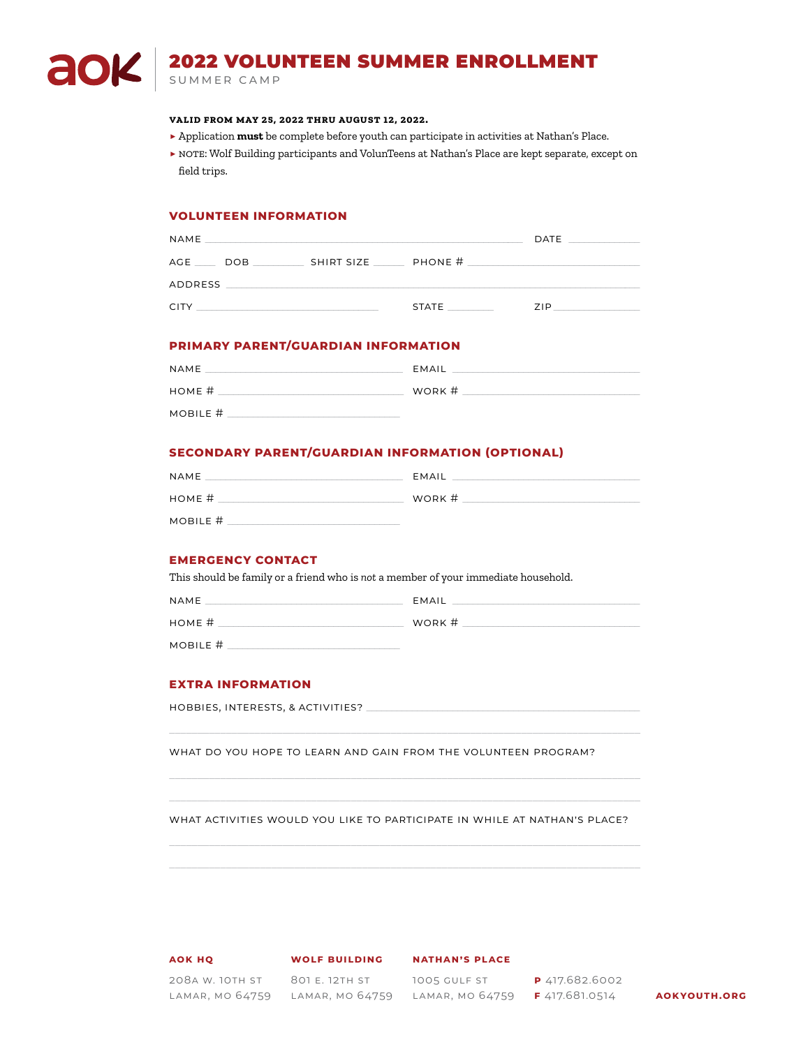# 2022 VOLUNTEEN SUMMER ENROLLMENT

summer camp

a

OK

### **valid from may 25, 2022 thru august 12, 2022.**

- **▶** Application **must** be complete before youth can participate in activities at Nathan's Place.
- ▶ NOTE: Wolf Building participants and VolunTeens at Nathan's Place are kept separate, except on field trips.

### **VOLUNTEEN INFORMATION**

| <b>NAME</b> |  |  |                            | $\mathsf{DATE}$ _______________ |
|-------------|--|--|----------------------------|---------------------------------|
|             |  |  | AGE DOB SHIRT SIZE PHONE # |                                 |
| ADDRESS     |  |  |                            |                                 |
| CITY.       |  |  | STATE                      | 71P                             |

### **PRIMARY PARENT/GUARDIAN INFORMATION**

| NAME     | EMAIL  |
|----------|--------|
| HOME #   | WORK # |
| MOBILE # |        |

### **SECONDARY PARENT/GUARDIAN INFORMATION (OPTIONAL)**

| NAME     | EMAIL  |
|----------|--------|
| HOME #   | WORK # |
| MOBILE # |        |

### **EMERGENCY CONTACT**

This should be family or a friend who is *not* a member of your immediate household.

| NAME     | EMAIL  |
|----------|--------|
| HOME #   | WORK # |
| MOBILE # |        |

### **EXTRA INFORMATION**

hobbies, interests, & activities? \_\_\_\_\_\_\_\_\_\_\_\_\_\_\_\_\_\_\_\_\_\_\_\_\_\_\_\_\_\_\_\_\_\_\_\_\_\_\_\_\_\_\_\_\_\_\_\_\_\_\_\_\_\_

WHAT DO YOU HOPE TO LEARN AND GAIN FROM THE VOLUNTEEN PROGRAM?

WHAT ACTIVITIES WOULD YOU LIKE TO PARTICIPATE IN WHILE AT NATHAN'S PLACE?

**AOK hq**

**Wolf Building**

**Nathan's Place**

208a W. 10th St 801 E. 12th St

Lamar, MO 64759 Lamar, MO 64759 Lamar, MO 64759 **F** 417.681.0514 **aokyouth.org**

1005 Gulf St **p** 417.682.6002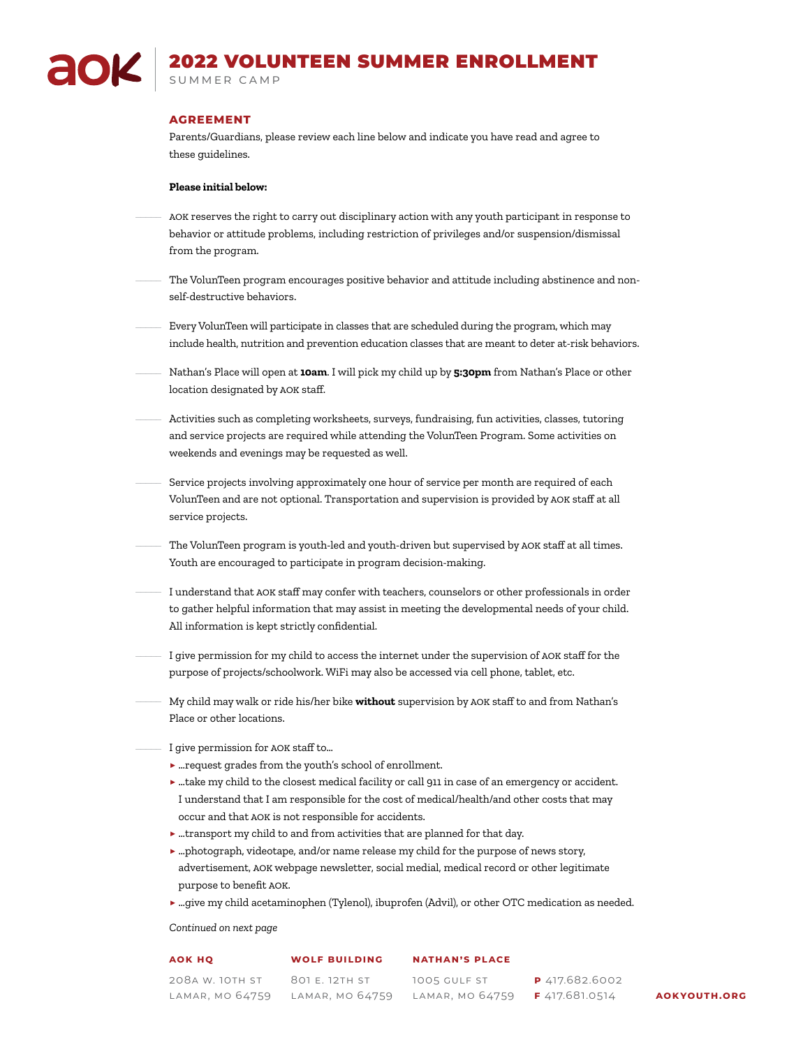## 2022 VOLUNTEEN SUMMER ENROLLMENT summer camp

### **AGREEMENT**

Parents/Guardians, please review each line below and indicate you have read and agree to these guidelines.

### **Please initial below:**

- AOK reserves the right to carry out disciplinary action with any youth participant in response to behavior or attitude problems, including restriction of privileges and/or suspension/dismissal from the program.  $\mathcal{L}$
- The VolunTeen program encourages positive behavior and attitude including abstinence and nonself-destructive behaviors.
- Every VolunTeen will participate in classes that are scheduled during the program, which may include health, nutrition and prevention education classes that are meant to deter at-risk behaviors.  $\mathcal{L}$
- Nathan's Place will open at **10am**. I will pick my child up by **5:30pm** from Nathan's Place or other location designated by AOK staff.
- Activities such as completing worksheets, surveys, fundraising, fun activities, classes, tutoring and service projects are required while attending the VolunTeen Program. Some activities on weekends and evenings may be requested as well.
- Service projects involving approximately one hour of service per month are required of each VolunTeen and are not optional. Transportation and supervision is provided by AOK staff at all service projects.  $\mathcal{L}$
- The VolunTeen program is youth-led and youth-driven but supervised by AOK staff at all times. Youth are encouraged to participate in program decision-making.
- I understand that AOK staff may confer with teachers, counselors or other professionals in order to gather helpful information that may assist in meeting the developmental needs of your child. All information is kept strictly confidential.
- I give permission for my child to access the internet under the supervision of AOK staff for the purpose of projects/schoolwork. WiFi may also be accessed via cell phone, tablet, etc.
- My child may walk or ride his/her bike **without** supervision by AOK staff to and from Nathan's Place or other locations.
	- I give permission for AOK staff to…
		- **▶** …request grades from the youth's school of enrollment.
		- **▶** …take my child to the closest medical facility or call 911 in case of an emergency or accident. I understand that I am responsible for the cost of medical/health/and other costs that may occur and that AOK is not responsible for accidents.
		- **▶** …transport my child to and from activities that are planned for that day.
		- **▶** …photograph, videotape, and/or name release my child for the purpose of news story, advertisement, AOK webpage newsletter, social medial, medical record or other legitimate purpose to benefit AOK.
		- **▶** …give my child acetaminophen (Tylenol), ibuprofen (Advil), or other OTC medication as needed.

*Continued on next page*

#### **AOK hq Wolf Building Nathan's Place**

208a W. 10th St 801 E. 12th St Lamar, MO 64759 Lamar, MO 64759

1005 Gulf St Lamar, MO 64759 **F** 417.681.0514 **aokyouth.org**

**p** 417.682.6002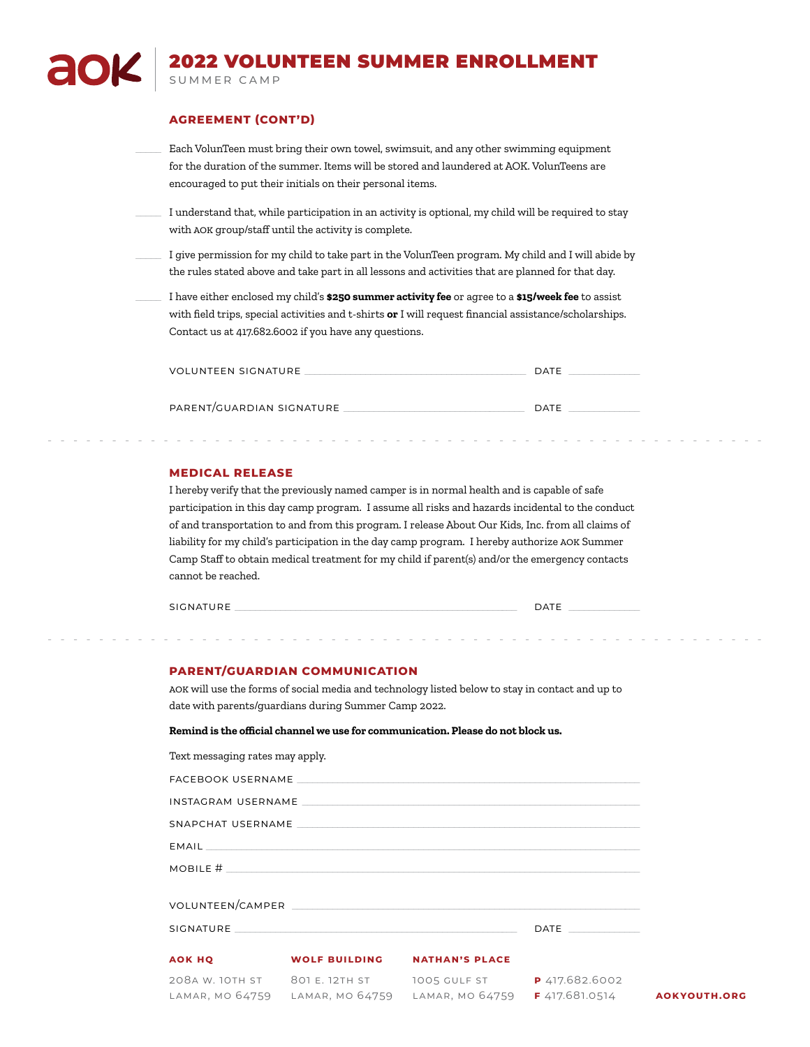# 2022 VOLUNTEEN SUMMER ENROLLMENT summer camp

### **AGREEMENT (CONT'D)**

Each VolunTeen must bring their own towel, swimsuit, and any other swimming equipment for the duration of the summer. Items will be stored and laundered at AOK. VolunTeens are encouraged to put their initials on their personal items.  $\mathcal{L}$ 

I understand that, while participation in an activity is optional, my child will be required to stay with AOK group/staff until the activity is complete.

I give permission for my child to take part in the VolunTeen program. My child and I will abide by the rules stated above and take part in all lessons and activities that are planned for that day.

I have either enclosed my child's **\$250 summer activity fee** or agree to a **\$15/week fee** to assist with field trips, special activities and t-shirts **or** I will request financial assistance/scholarships. Contact us at 417.682.6002 if you have any questions.  $\mathcal{L}$ 

| <b>DATE</b> |
|-------------|
|             |
| <b>DATE</b> |
|             |

--------------------------------------------------------

### **MEDICAL RELEASE**

I hereby verify that the previously named camper is in normal health and is capable of safe participation in this day camp program. I assume all risks and hazards incidental to the conduct of and transportation to and from this program. I release About Our Kids, Inc. from all claims of liability for my child's participation in the day camp program. I hereby authorize AOK Summer Camp Staff to obtain medical treatment for my child if parent(s) and/or the emergency contacts cannot be reached.

signature \_\_\_\_\_\_\_\_\_\_\_\_\_\_\_\_\_\_\_\_\_\_\_\_\_\_\_\_\_\_\_\_\_\_\_\_\_\_\_\_\_\_\_\_\_\_\_\_\_\_\_\_\_\_\_\_ date \_\_\_\_\_\_\_\_\_\_\_\_\_\_

### **PARENT/GUARDIAN COMMUNICATION**

AOK will use the forms of social media and technology listed below to stay in contact and up to date with parents/guardians during Summer Camp 2022.

--------------------------------------------------------

**Remind is the official channel we use for communication. Please do not block us.**

| Text messaging rates may apply. |                                                                   |                     |  |
|---------------------------------|-------------------------------------------------------------------|---------------------|--|
|                                 |                                                                   |                     |  |
|                                 |                                                                   |                     |  |
|                                 |                                                                   |                     |  |
|                                 |                                                                   |                     |  |
|                                 | MOBILE $#$ $\overline{\phantom{a}}$                               |                     |  |
|                                 |                                                                   |                     |  |
|                                 |                                                                   | DATE ______________ |  |
|                                 | <b>AOK HQ WOLF BUILDING NATHAN'S PLACE</b>                        |                     |  |
|                                 | 208A W. 10TH ST 801 E. 12TH ST 1005 GULF ST P 417.682.6002        |                     |  |
|                                 | LAMAR, MO 64759 LAMAR, MO 64759 LAMAR, MO 64759 F 417.681.0514 AO |                     |  |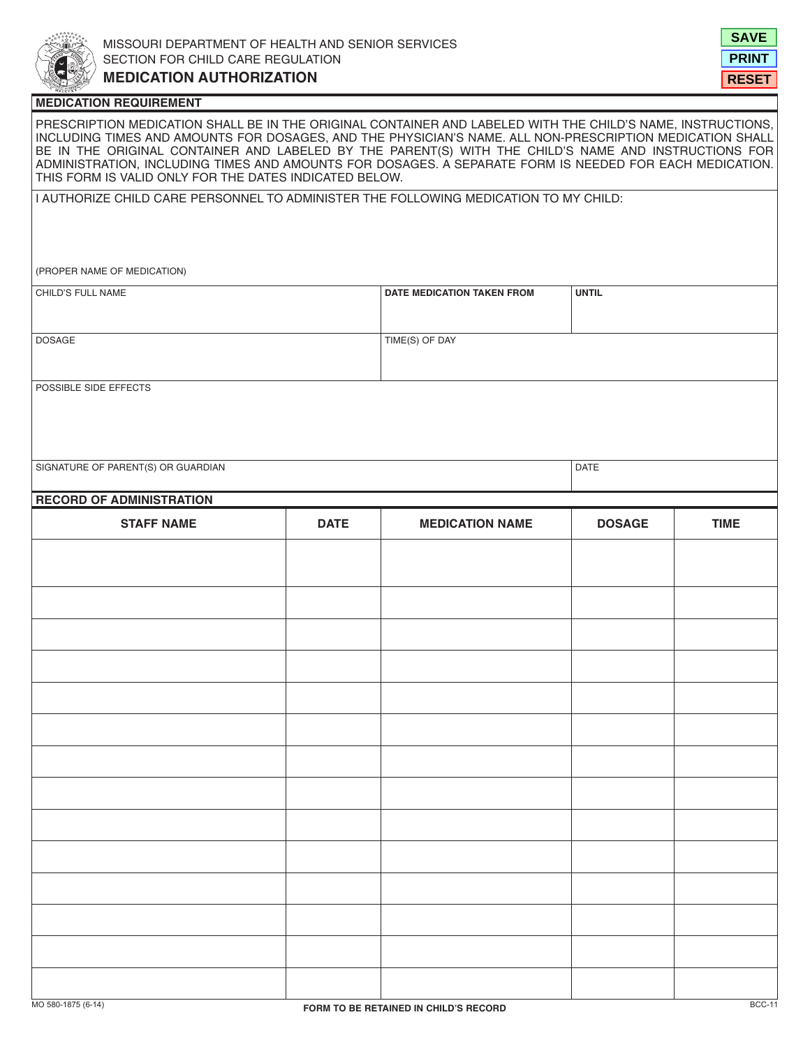



### **MEDICATION REQUIREMENT**

PRESCRIPTION MEDICATION SHALL BE IN THE ORIGINAL CONTAINER AND LABELED WITH THE CHILD'S NAME, INSTRUCTIONS, INCLUDING TIMES AND AMOUNTS FOR DOSAGES, AND THE PHYSICIAN'S NAME. ALL NON-PRESCRIPTION MEDICATION SHALL BE IN THE ORIGINAL CONTAINER AND LABELED BY THE PARENT(S) WITH THE CHILD'S NAME AND INSTRUCTIONS FOR ADMINISTRATION, INCLUDING TIMES AND AMOUNTS FOR DOSAGES. A SEPARATE FORM IS NEEDED FOR EACH MEDICATION. THIS FORM IS VALID ONLY FOR THE DATES INDICATED BELOW.

I AUTHORIZE CHILD CARE PERSONNEL TO ADMINISTER THE FOLLOWING MEDICATION TO MY CHILD:

(PROPER NAME OF MEDICATION)

| <b>CHILD'S FULL NAME</b> | <b>DATE MEDICATION TAKEN FROM</b> | <b>UNTIL</b> |
|--------------------------|-----------------------------------|--------------|
|                          |                                   |              |
| <b>DOSAGE</b>            | TIME(S) OF DAY                    |              |
|                          |                                   |              |

POSSIBLE SIDE EFFECTS

SIGNATURE OF PARENT(S) OR GUARDIAN DATE AND A SERVER AND THE SERVER OF PARENT (S) OR GUARDIAN

| <b>RECORD OF ADMINISTRATION</b> |             |                        |               |             |
|---------------------------------|-------------|------------------------|---------------|-------------|
| <b>STAFF NAME</b>               | <b>DATE</b> | <b>MEDICATION NAME</b> | <b>DOSAGE</b> | <b>TIME</b> |
|                                 |             |                        |               |             |
|                                 |             |                        |               |             |
|                                 |             |                        |               |             |
|                                 |             |                        |               |             |
|                                 |             |                        |               |             |
|                                 |             |                        |               |             |
|                                 |             |                        |               |             |
|                                 |             |                        |               |             |
|                                 |             |                        |               |             |
|                                 |             |                        |               |             |
|                                 |             |                        |               |             |
|                                 |             |                        |               |             |
|                                 |             |                        |               |             |
|                                 |             |                        |               |             |
|                                 |             |                        |               |             |